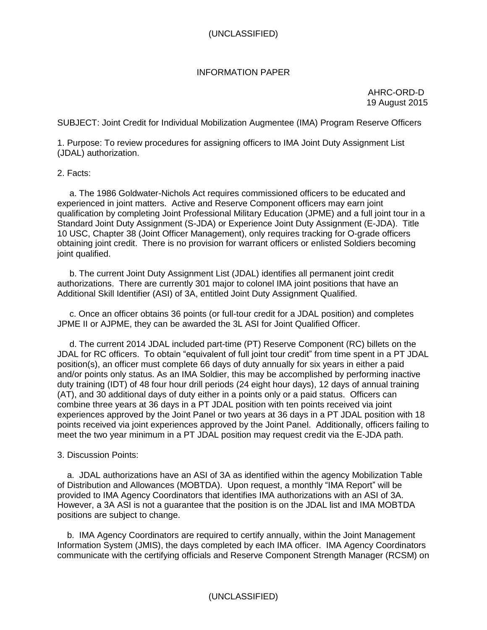## INFORMATION PAPER

 AHRC-ORD-D 19 August 2015

SUBJECT: Joint Credit for Individual Mobilization Augmentee (IMA) Program Reserve Officers

1. Purpose: To review procedures for assigning officers to IMA Joint Duty Assignment List (JDAL) authorization.

2. Facts:

 a. The 1986 Goldwater-Nichols Act requires commissioned officers to be educated and experienced in joint matters. Active and Reserve Component officers may earn joint qualification by completing Joint Professional Military Education (JPME) and a full joint tour in a Standard Joint Duty Assignment (S-JDA) or Experience Joint Duty Assignment (E-JDA). Title 10 USC, Chapter 38 (Joint Officer Management), only requires tracking for O-grade officers obtaining joint credit. There is no provision for warrant officers or enlisted Soldiers becoming joint qualified.

 b. The current Joint Duty Assignment List (JDAL) identifies all permanent joint credit authorizations. There are currently 301 major to colonel IMA joint positions that have an Additional Skill Identifier (ASI) of 3A, entitled Joint Duty Assignment Qualified.

 c. Once an officer obtains 36 points (or full-tour credit for a JDAL position) and completes JPME II or AJPME, they can be awarded the 3L ASI for Joint Qualified Officer.

 d. The current 2014 JDAL included part-time (PT) Reserve Component (RC) billets on the JDAL for RC officers. To obtain "equivalent of full joint tour credit" from time spent in a PT JDAL position(s), an officer must complete 66 days of duty annually for six years in either a paid and/or points only status. As an IMA Soldier, this may be accomplished by performing inactive duty training (IDT) of 48 four hour drill periods (24 eight hour days), 12 days of annual training (AT), and 30 additional days of duty either in a points only or a paid status. Officers can combine three years at 36 days in a PT JDAL position with ten points received via joint experiences approved by the Joint Panel or two years at 36 days in a PT JDAL position with 18 points received via joint experiences approved by the Joint Panel. Additionally, officers failing to meet the two year minimum in a PT JDAL position may request credit via the E-JDA path.

## 3. Discussion Points:

 a. JDAL authorizations have an ASI of 3A as identified within the agency Mobilization Table of Distribution and Allowances (MOBTDA). Upon request, a monthly "IMA Report" will be provided to IMA Agency Coordinators that identifies IMA authorizations with an ASI of 3A. However, a 3A ASI is not a guarantee that the position is on the JDAL list and IMA MOBTDA positions are subject to change.

 b. IMA Agency Coordinators are required to certify annually, within the Joint Management Information System (JMIS), the days completed by each IMA officer. IMA Agency Coordinators communicate with the certifying officials and Reserve Component Strength Manager (RCSM) on

## (UNCLASSIFIED)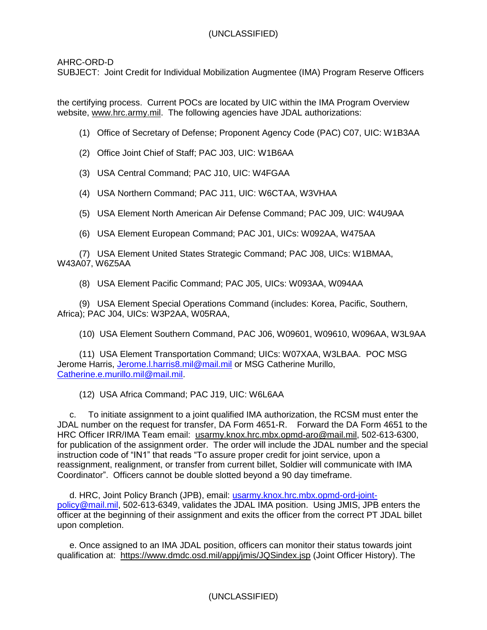AHRC-ORD-D

SUBJECT: Joint Credit for Individual Mobilization Augmentee (IMA) Program Reserve Officers

the certifying process. Current POCs are located by UIC within the IMA Program Overview website, [www.hrc.army.mil.](http://www.hrc.army.mil/) The following agencies have JDAL authorizations:

(1) Office of Secretary of Defense; Proponent Agency Code (PAC) C07, UIC: W1B3AA

(2) Office Joint Chief of Staff; PAC J03, UIC: W1B6AA

(3) USA Central Command; PAC J10, UIC: W4FGAA

(4) USA Northern Command; PAC J11, UIC: W6CTAA, W3VHAA

(5) USA Element North American Air Defense Command; PAC J09, UIC: W4U9AA

(6) USA Element European Command; PAC J01, UICs: W092AA, W475AA

 (7) USA Element United States Strategic Command; PAC J08, UICs: W1BMAA, W43A07, W6Z5AA

(8) USA Element Pacific Command; PAC J05, UICs: W093AA, W094AA

 (9) USA Element Special Operations Command (includes: Korea, Pacific, Southern, Africa); PAC J04, UICs: W3P2AA, W05RAA,

(10) USA Element Southern Command, PAC J06, W09601, W09610, W096AA, W3L9AA

 (11) USA Element Transportation Command; UICs: W07XAA, W3LBAA. POC MSG Jerome Harris, Jerome.I.harris8.mil@mail.mil or MSG Catherine Murillo, [Catherine.e.murillo.mil@mail.mil.](mailto:Catherine.e.murillo.mil@mail.mil)

(12) USA Africa Command; PAC J19, UIC: W6L6AA

 c. To initiate assignment to a joint qualified IMA authorization, the RCSM must enter the JDAL number on the request for transfer, DA Form 4651-R. Forward the DA Form 4651 to the HRC Officer IRR/IMA Team email: [usarmy.knox.hrc.mbx.opmd-aro@mail.mil,](mailto:usarmy.knox.hrc.mbx.opmd-aro@mail.mil) 502-613-6300, for publication of the assignment order. The order will include the JDAL number and the special instruction code of "IN1" that reads "To assure proper credit for joint service, upon a reassignment, realignment, or transfer from current billet, Soldier will communicate with IMA Coordinator". Officers cannot be double slotted beyond a 90 day timeframe.

 d. HRC, Joint Policy Branch (JPB), email: [usarmy.knox.hrc.mbx.opmd-ord-joint](mailto:usarmy.knox.hrc.mbx.opmd-ord-joint-policy@mail.mil)[policy@mail.mil,](mailto:usarmy.knox.hrc.mbx.opmd-ord-joint-policy@mail.mil) 502-613-6349, validates the JDAL IMA position. Using JMIS, JPB enters the officer at the beginning of their assignment and exits the officer from the correct PT JDAL billet upon completion.

 e. Once assigned to an IMA JDAL position, officers can monitor their status towards joint qualification at: <https://www.dmdc.osd.mil/appj/jmis/JQSindex.jsp> (Joint Officer History). The